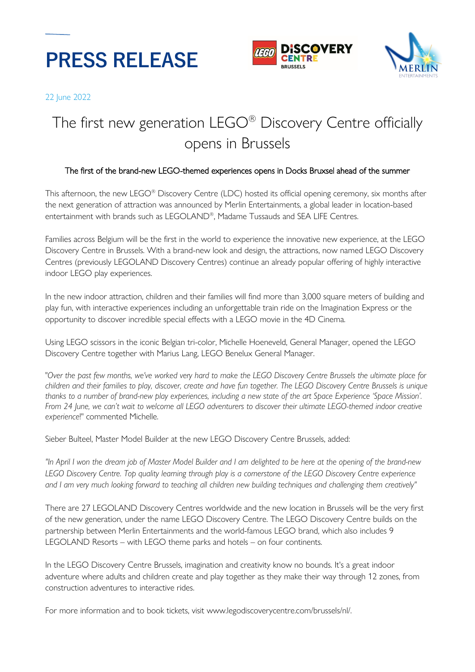





22 June 2022

# The first new generation LEGO® Discovery Centre officially opens in Brussels

## The first of the brand-new LEGO-themed experiences opens in Docks Bruxsel ahead of the summer

This afternoon, the new LEGO® Discovery Centre (LDC) hosted its official opening ceremony, six months after the next generation of attraction was announced by Merlin Entertainments, a global leader in location-based entertainment with brands such as LEGOLAND®, Madame Tussauds and SEA LIFE Centres.

Families across Belgium will be the first in the world to experience the innovative new experience, at the LEGO Discovery Centre in Brussels. With a brand-new look and design, the attractions, now named LEGO Discovery Centres (previously LEGOLAND Discovery Centres) continue an already popular offering of highly interactive indoor LEGO play experiences.

In the new indoor attraction, children and their families will find more than 3,000 square meters of building and play fun, with interactive experiences including an unforgettable train ride on the Imagination Express or the opportunity to discover incredible special effects with a LEGO movie in the 4D Cinema.

Using LEGO scissors in the iconic Belgian tri-color, Michelle Hoeneveld, General Manager, opened the LEGO Discovery Centre together with Marius Lang, LEGO Benelux General Manager.

"*Over the past few months, we've worked very hard to make the LEGO Discovery Centre Brussels the ultimate place for children and their families to play, discover, create and have fun together. The LEGO Discovery Centre Brussels is unique thanks to a number of brand-new play experiences, including a new state of the art Space Experience 'Space Mission'. From 24 June, we can't wait to welcome all LEGO adventurers to discover their ultimate LEGO-themed indoor creative experience*!" commented Michelle.

Sieber Bulteel, Master Model Builder at the new LEGO Discovery Centre Brussels, added:

*"In April I won the dream job of Master Model Builder and I am delighted to be here at the opening of the brand-new LEGO Discovery Centre. Top quality learning through play is a cornerstone of the LEGO Discovery Centre experience and I am very much looking forward to teaching all children new building techniques and challenging them creatively"*

There are 27 LEGOLAND Discovery Centres worldwide and the new location in Brussels will be the very first of the new generation, under the name LEGO Discovery Centre. The LEGO Discovery Centre builds on the partnership between Merlin Entertainments and the world-famous LEGO brand, which also includes 9 LEGOLAND Resorts – with LEGO theme parks and hotels – on four continents.

In the LEGO Discovery Centre Brussels, imagination and creativity know no bounds. It's a great indoor adventure where adults and children create and play together as they make their way through 12 zones, from construction adventures to interactive rides.

For more information and to book tickets, visit [www.legodiscoverycentre.com/brussels/nl/.](https://www.legodiscoverycentre.com/brussels/nl/)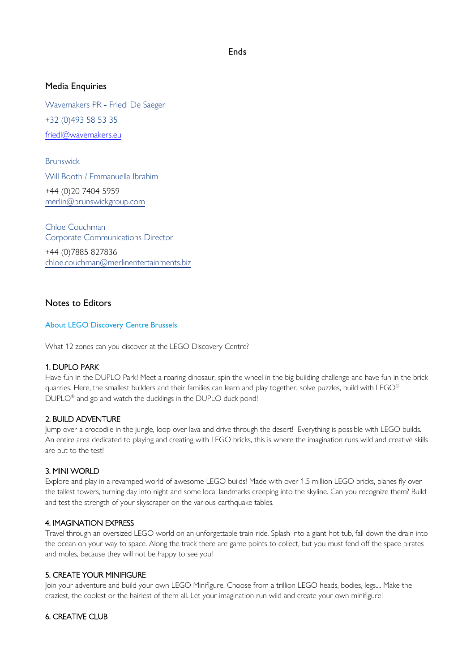## Media Enquiries

Wavemakers PR - Friedl De Saeger +32 (0)493 58 53 35 [friedl@wavemakers.eu](mailto:friedl@wavemakers.eu)

Brunswick Will Booth / Emmanuella Ibrahim +44 (0)20 7404 5959 [merlin@brunswickgroup.com](mailto:merlin@brunswickgroup.com) 

Chloe Couchman Corporate Communications Director

+44 (0)7885 827836 [chloe.couchman@merlinentertainments.biz](mailto:chloe.couchman@merlinentertainments.biz)

## Notes to Editors

## About LEGO Discovery Centre Brussels

What 12 zones can you discover at the LEGO Discovery Centre?

## 1. DUPLO PARK

Have fun in the DUPLO Park! Meet a roaring dinosaur, spin the wheel in the big building challenge and have fun in the brick quarries. Here, the smallest builders and their families can learn and play together, solve puzzles, build with LEGO® DUPLO<sup>®</sup> and go and watch the ducklings in the DUPLO duck pond!

## 2. BUILD ADVENTURE

Jump over a crocodile in the jungle, loop over lava and drive through the desert! Everything is possible with LEGO builds. An entire area dedicated to playing and creating with LEGO bricks, this is where the imagination runs wild and creative skills are put to the test!

## 3. MINI WORLD

Explore and play in a revamped world of awesome LEGO builds! Made with over 1.5 million LEGO bricks, planes fly over the tallest towers, turning day into night and some local landmarks creeping into the skyline. Can you recognize them? Build and test the strength of your skyscraper on the various earthquake tables.

## 4. IMAGINATION EXPRESS

Travel through an oversized LEGO world on an unforgettable train ride. Splash into a giant hot tub, fall down the drain into the ocean on your way to space. Along the track there are game points to collect, but you must fend off the space pirates and moles, because they will not be happy to see you!

## 5. CREATE YOUR MINIFIGURE

Join your adventure and build your own LEGO Minifigure. Choose from a trillion LEGO heads, bodies, legs.... Make the craziest, the coolest or the hairiest of them all. Let your imagination run wild and create your own minifigure!

## 6. CREATIVE CLUB

## Ends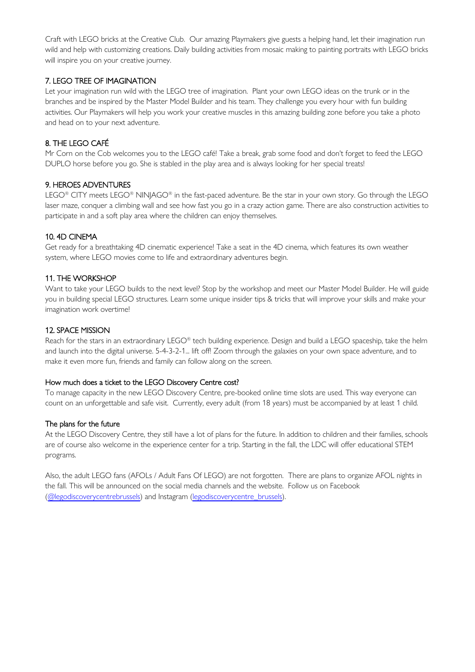Craft with LEGO bricks at the Creative Club. Our amazing Playmakers give guests a helping hand, let their imagination run wild and help with customizing creations. Daily building activities from mosaic making to painting portraits with LEGO bricks will inspire you on your creative journey.

## 7. LEGO TREE OF IMAGINATION

Let your imagination run wild with the LEGO tree of imagination. Plant your own LEGO ideas on the trunk or in the branches and be inspired by the Master Model Builder and his team. They challenge you every hour with fun building activities. Our Playmakers will help you work your creative muscles in this amazing building zone before you take a photo and head on to your next adventure.

## 8. THE LEGO CAFÉ

Mr Corn on the Cob welcomes you to the LEGO café! Take a break, grab some food and don't forget to feed the LEGO DUPLO horse before you go. She is stabled in the play area and is always looking for her special treats!

## 9. HEROES ADVENTURES

LEGO® CITY meets LEGO® NINJAGO® in the fast-paced adventure. Be the star in your own story. Go through the LEGO laser maze, conquer a climbing wall and see how fast you go in a crazy action game. There are also construction activities to participate in and a soft play area where the children can enjoy themselves.

## 10. 4D CINEMA

Get ready for a breathtaking 4D cinematic experience! Take a seat in the 4D cinema, which features its own weather system, where LEGO movies come to life and extraordinary adventures begin.

## 11. THE WORKSHOP

Want to take your LEGO builds to the next level? Stop by the workshop and meet our Master Model Builder. He will guide you in building special LEGO structures. Learn some unique insider tips & tricks that will improve your skills and make your imagination work overtime!

## 12. SPACE MISSION

Reach for the stars in an extraordinary LEGO® tech building experience. Design and build a LEGO spaceship, take the helm and launch into the digital universe. 5-4-3-2-1... lift off! Zoom through the galaxies on your own space adventure, and to make it even more fun, friends and family can follow along on the screen.

## How much does a ticket to the LEGO Discovery Centre cost?

To manage capacity in the new LEGO Discovery Centre, pre-booked online time slots are used. This way everyone can count on an unforgettable and safe visit. Currently, every adult (from 18 years) must be accompanied by at least 1 child.

## The plans for the future

At the LEGO Discovery Centre, they still have a lot of plans for the future. In addition to children and their families, schools are of course also welcome in the experience center for a trip. Starting in the fall, the LDC will offer educational STEM programs.

Also, the adult LEGO fans (AFOLs / Adult Fans Of LEGO) are not forgotten. There are plans to organize AFOL nights in the fall. This will be announced on the social media channels and the website. Follow us on Facebook [\(@legodiscoverycentrebrussels\)](https://www.facebook.com/legodiscoverycentrebrussels) and Instagram [\(legodiscoverycentre\\_brussels\)](https://www.instagram.com/legodiscoverycentre_brussels/).